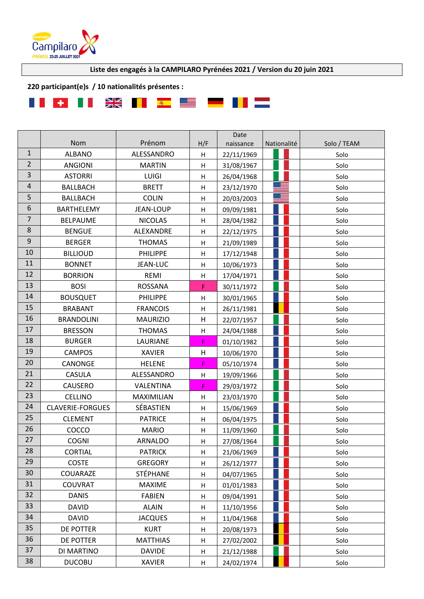

#### $\overline{a}$ **Liste des engagés à la CAMPILARO Pyrénées 2021 / Version du 20 juin 2021**

# **participant(e)s / 10 nationalités présentes :**



|                |                         |                  |              | Date       |             |             |
|----------------|-------------------------|------------------|--------------|------------|-------------|-------------|
|                | Nom                     | Prénom           | H/F          | naissance  | Nationalité | Solo / TEAM |
| $\mathbf{1}$   | <b>ALBANO</b>           | ALESSANDRO       | $\mathsf{H}$ | 22/11/1969 |             | Solo        |
| $\overline{2}$ | <b>ANGIONI</b>          | <b>MARTIN</b>    | Н            | 31/08/1967 |             | Solo        |
| 3              | <b>ASTORRI</b>          | <b>LUIGI</b>     | $\sf H$      | 26/04/1968 |             | Solo        |
| 4              | <b>BALLBACH</b>         | <b>BRETT</b>     | Н            | 23/12/1970 | Ξ           | Solo        |
| 5              | <b>BALLBACH</b>         | <b>COLIN</b>     | $\mathsf{H}$ | 20/03/2003 |             | Solo        |
| 6              | <b>BARTHELEMY</b>       | <b>JEAN-LOUP</b> | $\sf H$      | 09/09/1981 |             | Solo        |
| $\overline{7}$ | <b>BELPAUME</b>         | <b>NICOLAS</b>   | Н            | 28/04/1982 |             | Solo        |
| 8              | <b>BENGUE</b>           | ALEXANDRE        | $\mathsf{H}$ | 22/12/1975 |             | Solo        |
| $\mathsf 9$    | <b>BERGER</b>           | <b>THOMAS</b>    | Н            | 21/09/1989 |             | Solo        |
| 10             | <b>BILLIOUD</b>         | PHILIPPE         | $\mathsf{H}$ | 17/12/1948 |             | Solo        |
| 11             | <b>BONNET</b>           | JEAN-LUC         | Н            | 10/06/1973 |             | Solo        |
| 12             | <b>BORRION</b>          | <b>REMI</b>      | $\mathsf{H}$ | 17/04/1971 |             | Solo        |
| 13             | <b>BOSI</b>             | <b>ROSSANA</b>   | F            | 30/11/1972 |             | Solo        |
| 14             | <b>BOUSQUET</b>         | PHILIPPE         | Н            | 30/01/1965 |             | Solo        |
| 15             | <b>BRABANT</b>          | <b>FRANCOIS</b>  | $\mathsf{H}$ | 26/11/1981 |             | Solo        |
| 16             | <b>BRANDOLINI</b>       | <b>MAURIZIO</b>  | Н            | 22/07/1957 |             | Solo        |
| 17             | <b>BRESSON</b>          | <b>THOMAS</b>    | $\sf H$      | 24/04/1988 |             | Solo        |
| 18             | <b>BURGER</b>           | LAURIANE         | F            | 01/10/1982 |             | Solo        |
| 19             | <b>CAMPOS</b>           | <b>XAVIER</b>    | Н            | 10/06/1970 |             | Solo        |
| 20             | CANONGE                 | <b>HELENE</b>    | F            | 05/10/1974 |             | Solo        |
| 21             | <b>CASULA</b>           | ALESSANDRO       | Н            | 19/09/1966 |             | Solo        |
| 22             | <b>CAUSERO</b>          | VALENTINA        | F            | 29/03/1972 |             | Solo        |
| 23             | <b>CELLINO</b>          | MAXIMILIAN       | Н            | 23/03/1970 |             | Solo        |
| 24             | <b>CLAVERIE-FORGUES</b> | SÉBASTIEN        | $\sf H$      | 15/06/1969 |             | Solo        |
| 25             | <b>CLEMENT</b>          | <b>PATRICE</b>   | $\mathsf{H}$ | 06/04/1975 |             | Solo        |
| 26             | COCCO                   | <b>MARIO</b>     | Н            | 11/09/1960 |             | Solo        |
| 27             | <b>COGNI</b>            | <b>ARNALDO</b>   | Н            | 27/08/1964 |             | Solo        |
| 28             | <b>CORTIAL</b>          | <b>PATRICK</b>   | $\sf H$      | 21/06/1969 | m.          | Solo        |
| 29             | <b>COSTE</b>            | <b>GREGORY</b>   | н            | 26/12/1977 |             | Solo        |
| 30             | COUARAZE                | <b>STÉPHANE</b>  | Н            | 04/07/1965 |             | Solo        |
| 31             | <b>COUVRAT</b>          | <b>MAXIME</b>    | Н            | 01/01/1983 |             | Solo        |
| 32             | <b>DANIS</b>            | <b>FABIEN</b>    | Н            | 09/04/1991 |             | Solo        |
| 33             | <b>DAVID</b>            | <b>ALAIN</b>     | н            | 11/10/1956 |             | Solo        |
| 34             | <b>DAVID</b>            | <b>JACQUES</b>   | $\sf H$      | 11/04/1968 |             | Solo        |
| 35             | DE POTTER               | <b>KURT</b>      | Н            | 20/08/1973 |             | Solo        |
| 36             | DE POTTER               | <b>MATTHIAS</b>  | Н            | 27/02/2002 |             | Solo        |
| 37             | DI MARTINO              | <b>DAVIDE</b>    | Н            | 21/12/1988 |             | Solo        |
| 38             | <b>DUCOBU</b>           | <b>XAVIER</b>    | н            | 24/02/1974 |             | Solo        |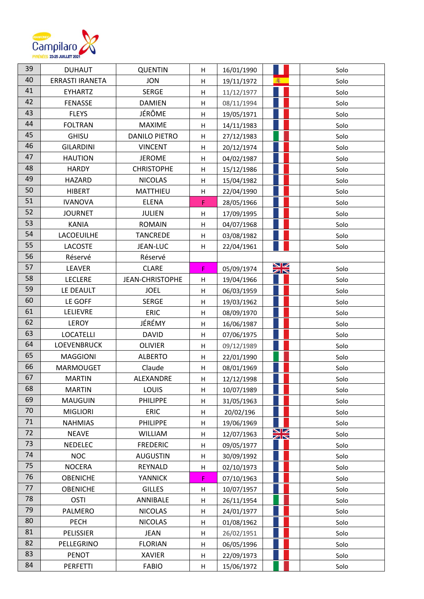

| 39 | <b>DUHAUT</b>          | <b>QUENTIN</b>         | $\mathsf{H}$ | 16/01/1990 |         | Solo |
|----|------------------------|------------------------|--------------|------------|---------|------|
| 40 | <b>ERRASTI IRANETA</b> | <b>JON</b>             | $\sf H$      | 19/11/1972 | 癌       | Solo |
| 41 | <b>EYHARTZ</b>         | <b>SERGE</b>           | $\mathsf{H}$ | 11/12/1977 |         | Solo |
| 42 | <b>FENASSE</b>         | <b>DAMIEN</b>          | $\mathsf{H}$ | 08/11/1994 |         | Solo |
| 43 | <b>FLEYS</b>           | JÉRÔME                 | $\sf H$      | 19/05/1971 |         | Solo |
| 44 | <b>FOLTRAN</b>         | <b>MAXIME</b>          | $\mathsf{H}$ | 14/11/1983 |         | Solo |
| 45 | <b>GHISU</b>           | <b>DANILO PIETRO</b>   | н            | 27/12/1983 |         | Solo |
| 46 | <b>GILARDINI</b>       | <b>VINCENT</b>         | $\mathsf{H}$ | 20/12/1974 |         | Solo |
| 47 | <b>HAUTION</b>         | <b>JEROME</b>          | $\mathsf{H}$ | 04/02/1987 |         | Solo |
| 48 | <b>HARDY</b>           | <b>CHRISTOPHE</b>      | $\mathsf{H}$ | 15/12/1986 |         | Solo |
| 49 | <b>HAZARD</b>          | <b>NICOLAS</b>         | $\mathsf{H}$ | 15/04/1982 |         | Solo |
| 50 | <b>HIBERT</b>          | <b>MATTHIEU</b>        | $\sf H$      | 22/04/1990 |         | Solo |
| 51 | <b>IVANOVA</b>         | <b>ELENA</b>           | F            | 28/05/1966 |         | Solo |
| 52 | <b>JOURNET</b>         | <b>JULIEN</b>          | $\mathsf{H}$ | 17/09/1995 |         | Solo |
| 53 | <b>KANIA</b>           | <b>ROMAIN</b>          | $\mathsf{H}$ | 04/07/1968 |         | Solo |
| 54 | LACOEUILHE             | <b>TANCREDE</b>        | $\mathsf{H}$ | 03/08/1982 |         | Solo |
| 55 | <b>LACOSTE</b>         | <b>JEAN-LUC</b>        | $\sf H$      | 22/04/1961 |         | Solo |
| 56 | Réservé                | Réservé                |              |            |         |      |
| 57 | LEAVER                 | <b>CLARE</b>           | F            | 05/09/1974 | XK      | Solo |
| 58 | LECLERE                | <b>JEAN-CHRISTOPHE</b> | $\mathsf{H}$ | 19/04/1966 |         | Solo |
| 59 | LE DEAULT              | <b>JOEL</b>            | $\sf H$      | 06/03/1959 |         | Solo |
| 60 | LE GOFF                | <b>SERGE</b>           | $\mathsf{H}$ | 19/03/1962 |         | Solo |
| 61 | <b>LELIEVRE</b>        | <b>ERIC</b>            | $\mathsf{H}$ | 08/09/1970 |         | Solo |
| 62 | LEROY                  | JÉRÉMY                 | $\sf H$      | 16/06/1987 |         | Solo |
| 63 | <b>LOCATELLI</b>       | <b>DAVID</b>           | $\mathsf{H}$ | 07/06/1975 |         | Solo |
| 64 | <b>LOEVENBRUCK</b>     | <b>OLIVIER</b>         | H            | 09/12/1989 |         | Solo |
| 65 | <b>MAGGIONI</b>        | <b>ALBERTO</b>         | $\sf H$      | 22/01/1990 |         | Solo |
| 66 | <b>MARMOUGET</b>       | Claude                 | $\mathsf{H}$ | 08/01/1969 |         | Solo |
| 67 | <b>MARTIN</b>          | ALEXANDRE              | H            | 12/12/1998 |         | Solo |
| 68 | <b>MARTIN</b>          | LOUIS                  | н            | 10/07/1989 |         | Solo |
| 69 | <b>MAUGUIN</b>         | <b>PHILIPPE</b>        | Н            | 31/05/1963 |         | Solo |
| 70 | <b>MIGLIORI</b>        | ERIC                   | Н            | 20/02/196  |         | Solo |
| 71 | <b>NAHMIAS</b>         | <b>PHILIPPE</b>        | н            | 19/06/1969 |         | Solo |
| 72 | <b>NEAVE</b>           | <b>WILLIAM</b>         | Н            | 12/07/1963 | V<br>ZN | Solo |
| 73 | <b>NEDELEC</b>         | <b>FREDERIC</b>        | Н            | 09/05/1977 |         | Solo |
| 74 | <b>NOC</b>             | <b>AUGUSTIN</b>        | Н            | 30/09/1992 |         | Solo |
| 75 | <b>NOCERA</b>          | REYNALD                | H            | 02/10/1973 |         | Solo |
| 76 | <b>OBENICHE</b>        | <b>YANNICK</b>         | F            | 07/10/1963 |         | Solo |
| 77 | <b>OBENICHE</b>        | <b>GILLES</b>          | Н            | 10/07/1957 |         | Solo |
| 78 | <b>OSTI</b>            | ANNIBALE               | Н            | 26/11/1954 |         | Solo |
| 79 | <b>PALMERO</b>         | <b>NICOLAS</b>         | Н            | 24/01/1977 |         | Solo |
| 80 | PECH                   | <b>NICOLAS</b>         | Н            | 01/08/1962 |         | Solo |
| 81 | <b>PELISSIER</b>       | <b>JEAN</b>            | Н            | 26/02/1951 |         | Solo |
| 82 | PELLEGRINO             | <b>FLORIAN</b>         | Н            | 06/05/1996 |         | Solo |
| 83 | <b>PENOT</b>           | <b>XAVIER</b>          | Н            | 22/09/1973 |         | Solo |
| 84 | PERFETTI               | <b>FABIO</b>           | Н            | 15/06/1972 |         | Solo |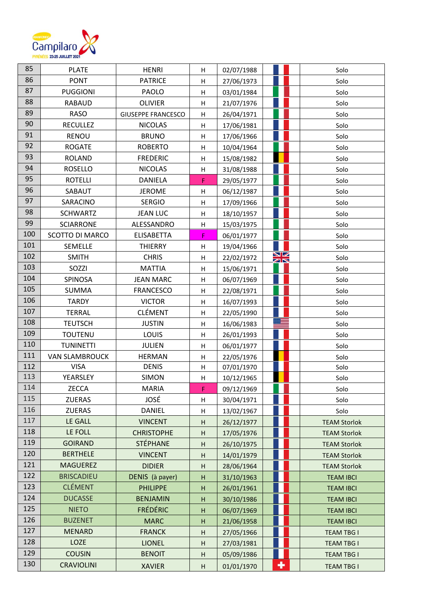

| 85  | <b>PLATE</b>           | <b>HENRI</b>              | H                       | 02/07/1988 |                              | Solo                |
|-----|------------------------|---------------------------|-------------------------|------------|------------------------------|---------------------|
| 86  | <b>PONT</b>            | <b>PATRICE</b>            | Н                       | 27/06/1973 |                              | Solo                |
| 87  | <b>PUGGIONI</b>        | PAOLO                     | $\mathsf{H}$            | 03/01/1984 |                              | Solo                |
| 88  | <b>RABAUD</b>          | <b>OLIVIER</b>            | $\mathsf{H}$            | 21/07/1976 |                              | Solo                |
| 89  | <b>RASO</b>            | <b>GIUSEPPE FRANCESCO</b> | H                       | 26/04/1971 |                              | Solo                |
| 90  | <b>RECULLEZ</b>        | <b>NICOLAS</b>            | H                       | 17/06/1981 |                              | Solo                |
| 91  | <b>RENOU</b>           | <b>BRUNO</b>              | Н                       | 17/06/1966 |                              | Solo                |
| 92  | <b>ROGATE</b>          | <b>ROBERTO</b>            | $\mathsf{H}$            | 10/04/1964 |                              | Solo                |
| 93  | <b>ROLAND</b>          | <b>FREDERIC</b>           | $\mathsf{H}$            | 15/08/1982 |                              | Solo                |
| 94  | <b>ROSELLO</b>         | <b>NICOLAS</b>            | $\mathsf{H}$            | 31/08/1988 |                              | Solo                |
| 95  | <b>ROTELLI</b>         | <b>DANIELA</b>            | F                       | 29/05/1977 |                              | Solo                |
| 96  | SABAUT                 | <b>JEROME</b>             | Н                       | 06/12/1987 |                              | Solo                |
| 97  | SARACINO               | <b>SERGIO</b>             | $\mathsf{H}$            | 17/09/1966 |                              | Solo                |
| 98  | <b>SCHWARTZ</b>        | <b>JEAN LUC</b>           | Н                       | 18/10/1957 |                              | Solo                |
| 99  | <b>SCIARRONE</b>       | ALESSANDRO                | Н                       | 15/03/1975 |                              | Solo                |
| 100 | <b>SCOTTO DI MARCO</b> | <b>ELISABETTA</b>         | F                       | 06/01/1977 |                              | Solo                |
| 101 | SEMELLE                | <b>THIERRY</b>            | H                       | 19/04/1966 |                              | Solo                |
| 102 | <b>SMITH</b>           | <b>CHRIS</b>              | H                       | 22/02/1972 | W<br>$\overline{\mathbb{Z}}$ | Solo                |
| 103 | SOZZI                  | <b>MATTIA</b>             | Н                       | 15/06/1971 |                              | Solo                |
| 104 | SPINOSA                | <b>JEAN MARC</b>          | $\mathsf{H}$            | 06/07/1969 |                              | Solo                |
| 105 | <b>SUMMA</b>           | <b>FRANCESCO</b>          | $\mathsf{H}$            | 22/08/1971 |                              | Solo                |
| 106 | <b>TARDY</b>           | <b>VICTOR</b>             | $\mathsf{H}$            | 16/07/1993 |                              | Solo                |
| 107 | <b>TERRAL</b>          | <b>CLÉMENT</b>            | Н                       | 22/05/1990 |                              | Solo                |
| 108 | <b>TEUTSCH</b>         | <b>JUSTIN</b>             | Н                       | 16/06/1983 | ▓═                           | Solo                |
| 109 | <b>TOUTENU</b>         | LOUIS                     | $\overline{\mathsf{H}}$ | 26/01/1993 |                              | Solo                |
| 110 | <b>TUNINETTI</b>       | <b>JULIEN</b>             | Н                       | 06/01/1977 |                              | Solo                |
| 111 | <b>VAN SLAMBROUCK</b>  | <b>HERMAN</b>             | Н                       | 22/05/1976 |                              | Solo                |
| 112 | <b>VISA</b>            | <b>DENIS</b>              | $\mathsf{H}$            | 07/01/1970 |                              | Solo                |
| 113 | YEARSLEY               | SIMON                     | Н                       | 10/12/1965 |                              | Solo                |
| 114 | <b>ZECCA</b>           | <b>MARIA</b>              | F                       | 09/12/1969 |                              | Solo                |
| 115 | <b>ZUERAS</b>          | JOSÉ                      | Н                       | 30/04/1971 |                              | Solo                |
| 116 | <b>ZUERAS</b>          | <b>DANIEL</b>             | Н                       | 13/02/1967 |                              | Solo                |
| 117 | LE GALL                | <b>VINCENT</b>            | н                       | 26/12/1977 |                              | <b>TEAM Storlok</b> |
| 118 | LE FOLL                | <b>CHRISTOPHE</b>         | H                       | 17/05/1976 |                              | <b>TEAM Storlok</b> |
| 119 | <b>GOIRAND</b>         | <b>STÉPHANE</b>           | H                       | 26/10/1975 |                              | <b>TEAM Storlok</b> |
| 120 | <b>BERTHELE</b>        | <b>VINCENT</b>            | H                       | 14/01/1979 |                              | <b>TEAM Storlok</b> |
| 121 | <b>MAGUEREZ</b>        | <b>DIDIER</b>             | H                       | 28/06/1964 |                              | <b>TEAM Storlok</b> |
| 122 | <b>BRISCADIEU</b>      | DENIS (à payer)           | H                       | 31/10/1963 |                              | <b>TEAM IBCI</b>    |
| 123 | <b>CLÉMENT</b>         | <b>PHILIPPE</b>           | H                       | 26/01/1961 |                              | <b>TEAM IBCI</b>    |
| 124 | <b>DUCASSE</b>         | <b>BENJAMIN</b>           | H                       | 30/10/1986 |                              | <b>TEAM IBCI</b>    |
| 125 | <b>NIETO</b>           | <b>FRÉDÉRIC</b>           | H                       | 06/07/1969 |                              | <b>TEAM IBCI</b>    |
| 126 | <b>BUZENET</b>         | <b>MARC</b>               | H                       | 21/06/1958 |                              | <b>TEAM IBCI</b>    |
| 127 | <b>MENARD</b>          | <b>FRANCK</b>             | Н                       | 27/05/1966 |                              | <b>TEAM TBG I</b>   |
| 128 | LOZE                   | <b>LIONEL</b>             | Н                       | 27/03/1981 |                              | <b>TEAM TBG I</b>   |
| 129 | <b>COUSIN</b>          | <b>BENOIT</b>             | н                       | 05/09/1986 |                              | <b>TEAM TBG I</b>   |
| 130 | <b>CRAVIOLINI</b>      | <b>XAVIER</b>             | Н                       | 01/01/1970 | ۰                            | <b>TEAM TBG I</b>   |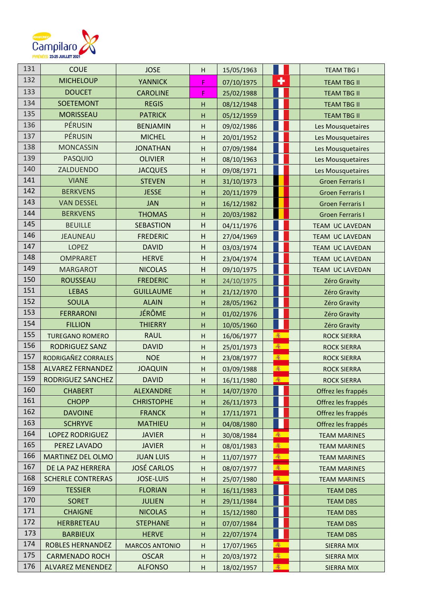

| 131 | <b>COUE</b>              | <b>JOSE</b>           | H            | 15/05/1963 |    | <b>TEAM TBG I</b>       |
|-----|--------------------------|-----------------------|--------------|------------|----|-------------------------|
| 132 | <b>MICHELOUP</b>         | <b>YANNICK</b>        | F            | 07/10/1975 | ٠  | <b>TEAM TBG II</b>      |
| 133 | <b>DOUCET</b>            | <b>CAROLINE</b>       | F            | 25/02/1988 |    | <b>TEAM TBG II</b>      |
| 134 | <b>SOETEMONT</b>         | <b>REGIS</b>          | $\mathsf{H}$ | 08/12/1948 |    | <b>TEAM TBG II</b>      |
| 135 | <b>MORISSEAU</b>         | <b>PATRICK</b>        | H            | 05/12/1959 |    | <b>TEAM TBG II</b>      |
| 136 | PÉRUSIN                  | <b>BENJAMIN</b>       | $\mathsf{H}$ | 09/02/1986 |    | Les Mousquetaires       |
| 137 | PÉRUSIN                  | <b>MICHEL</b>         | H            | 20/01/1952 |    | Les Mousquetaires       |
| 138 | <b>MONCASSIN</b>         | <b>JONATHAN</b>       | $\mathsf{H}$ | 07/09/1984 |    | Les Mousquetaires       |
| 139 | <b>PASQUIO</b>           | <b>OLIVIER</b>        | $\mathsf{H}$ | 08/10/1963 |    | Les Mousquetaires       |
| 140 | <b>ZALDUENDO</b>         | <b>JACQUES</b>        | H            | 09/08/1971 |    | Les Mousquetaires       |
| 141 | <b>VIANE</b>             | <b>STEVEN</b>         | H            | 31/10/1973 |    | <b>Groen Ferraris I</b> |
| 142 | <b>BERKVENS</b>          | <b>JESSE</b>          | H            | 20/11/1979 |    | <b>Groen Ferraris I</b> |
| 143 | <b>VAN DESSEL</b>        | <b>JAN</b>            | $\mathsf{H}$ | 16/12/1982 |    | <b>Groen Ferraris I</b> |
| 144 | <b>BERKVENS</b>          | <b>THOMAS</b>         | $\mathsf{H}$ | 20/03/1982 |    | <b>Groen Ferraris I</b> |
| 145 | <b>BEUILLE</b>           | <b>SEBASTION</b>      | H            | 04/11/1976 |    | <b>TEAM UC LAVEDAN</b>  |
| 146 | <b>JEAUNEAU</b>          | <b>FREDERIC</b>       | H            | 27/04/1969 |    | <b>TEAM UC LAVEDAN</b>  |
| 147 | <b>LOPEZ</b>             | <b>DAVID</b>          | H            | 03/03/1974 |    | <b>TEAM UC LAVEDAN</b>  |
| 148 | <b>OMPRARET</b>          | <b>HERVE</b>          | H            | 23/04/1974 |    | <b>TEAM UC LAVEDAN</b>  |
| 149 | <b>MARGAROT</b>          | <b>NICOLAS</b>        | H            | 09/10/1975 |    | <b>TEAM UC LAVEDAN</b>  |
| 150 | <b>ROUSSEAU</b>          | <b>FREDERIC</b>       | $\mathsf{H}$ | 24/10/1975 |    | Zéro Gravity            |
| 151 | <b>LEBAS</b>             | <b>GUILLAUME</b>      | $\mathsf{H}$ | 21/12/1970 |    | Zéro Gravity            |
| 152 | <b>SOULA</b>             | <b>ALAIN</b>          | H            | 28/05/1962 |    | Zéro Gravity            |
| 153 | <b>FERRARONI</b>         | JÉRÔME                | H            | 01/02/1976 |    | Zéro Gravity            |
| 154 | <b>FILLION</b>           | <b>THIERRY</b>        | H            | 10/05/1960 |    | Zéro Gravity            |
| 155 | <b>TUREGANO ROMERO</b>   | <b>RAUL</b>           | H            | 16/06/1977 | 癢  | <b>ROCK SIERRA</b>      |
| 156 | RODRIGUEZ SANZ           | <b>DAVID</b>          | $\mathsf{H}$ | 25/01/1973 | 齊  | <b>ROCK SIERRA</b>      |
| 157 | RODRIGAÑEZ CORRALES      | <b>NOE</b>            | H            | 23/08/1977 | 療  | <b>ROCK SIERRA</b>      |
| 158 | <b>ALVAREZ FERNANDEZ</b> | <b>JOAQUIN</b>        | H            | 03/09/1988 | 齊  | <b>ROCK SIERRA</b>      |
| 159 | RODRIGUEZ SANCHEZ        | <b>DAVID</b>          | Н            | 16/11/1980 |    | <b>ROCK SIERRA</b>      |
| 160 | <b>CHABERT</b>           | <b>ALEXANDRE</b>      | H            | 14/07/1970 |    | Offrez les frappés      |
| 161 | <b>CHOPP</b>             | <b>CHRISTOPHE</b>     | H            | 26/11/1973 |    | Offrez les frappés      |
| 162 | <b>DAVOINE</b>           | <b>FRANCK</b>         | Н            | 17/11/1971 |    | Offrez les frappés      |
| 163 | <b>SCHRYVE</b>           | <b>MATHIEU</b>        | Н            | 04/08/1980 |    | Offrez les frappés      |
| 164 | <b>LOPEZ RODRIGUEZ</b>   | <b>JAVIER</b>         | Н            | 30/08/1984 | 療  | <b>TEAM MARINES</b>     |
| 165 | PEREZ LAVADO             | <b>JAVIER</b>         | H            | 08/01/1983 | 療  | <b>TEAM MARINES</b>     |
| 166 | <b>MARTINEZ DEL OLMO</b> | <b>JUAN LUIS</b>      | н            | 11/07/1977 | 癌。 | <b>TEAM MARINES</b>     |
| 167 | DE LA PAZ HERRERA        | <b>JOSÉ CARLOS</b>    | Н            | 08/07/1977 | 療  | <b>TEAM MARINES</b>     |
| 168 | <b>SCHERLE CONTRERAS</b> | <b>JOSE-LUIS</b>      | Н            | 25/07/1980 | 癢  | <b>TEAM MARINES</b>     |
| 169 | <b>TESSIER</b>           | <b>FLORIAN</b>        | Н            | 16/11/1983 |    | <b>TEAM DBS</b>         |
| 170 | <b>SORET</b>             | <b>JULIEN</b>         | Н            | 29/11/1984 |    | <b>TEAM DBS</b>         |
| 171 | <b>CHAIGNE</b>           | <b>NICOLAS</b>        | $\mathsf{H}$ | 15/12/1980 |    | <b>TEAM DBS</b>         |
| 172 | <b>HERBRETEAU</b>        | <b>STEPHANE</b>       | $\mathsf{H}$ | 07/07/1984 |    | <b>TEAM DBS</b>         |
| 173 | <b>BARBIEUX</b>          | <b>HERVE</b>          | Н            | 22/07/1974 |    | <b>TEAM DBS</b>         |
| 174 | <b>ROBLES HERNANDEZ</b>  | <b>MARCOS ANTONIO</b> | Н            | 17/07/1965 | 癢  | <b>SIERRA MIX</b>       |
| 175 | <b>CARMENADO ROCH</b>    | <b>OSCAR</b>          | Н            | 20/03/1972 | 藤  | <b>SIERRA MIX</b>       |
| 176 | <b>ALVAREZ MENENDEZ</b>  | <b>ALFONSO</b>        | Н            | 18/02/1957 | 療  | <b>SIERRA MIX</b>       |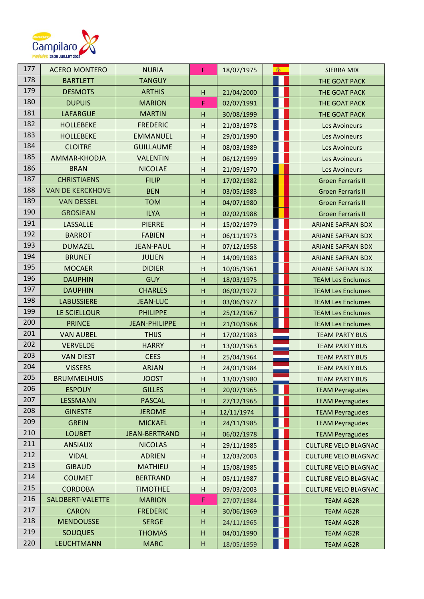

| 177 | <b>ACERO MONTERO</b>    | <b>NURIA</b>         | F            | 18/07/1975 | 瘙 | <b>SIERRA MIX</b>           |
|-----|-------------------------|----------------------|--------------|------------|---|-----------------------------|
| 178 | <b>BARTLETT</b>         | <b>TANGUY</b>        |              |            |   | THE GOAT PACK               |
| 179 | <b>DESMOTS</b>          | <b>ARTHIS</b>        | $\mathsf{H}$ | 21/04/2000 |   | THE GOAT PACK               |
| 180 | <b>DUPUIS</b>           | <b>MARION</b>        | F            | 02/07/1991 |   | THE GOAT PACK               |
| 181 | <b>LAFARGUE</b>         | <b>MARTIN</b>        | $\mathsf{H}$ | 30/08/1999 |   | THE GOAT PACK               |
| 182 | <b>HOLLEBEKE</b>        | <b>FREDERIC</b>      | $\mathsf{H}$ | 21/03/1978 |   | Les Avoineurs               |
| 183 | <b>HOLLEBEKE</b>        | <b>EMMANUEL</b>      | H            | 29/01/1990 |   | Les Avoineurs               |
| 184 | <b>CLOITRE</b>          | <b>GUILLAUME</b>     | H            | 08/03/1989 |   | Les Avoineurs               |
| 185 | AMMAR-KHODJA            | <b>VALENTIN</b>      | $\mathsf{H}$ | 06/12/1999 |   | Les Avoineurs               |
| 186 | <b>BRAN</b>             | <b>NICOLAE</b>       | $\mathsf{H}$ | 21/09/1970 |   | Les Avoineurs               |
| 187 | <b>CHRISTIAENS</b>      | <b>FILIP</b>         | $\mathsf{H}$ | 17/02/1982 |   | <b>Groen Ferraris II</b>    |
| 188 | <b>VAN DE KERCKHOVE</b> | <b>BEN</b>           | $\mathsf{H}$ | 03/05/1983 |   | <b>Groen Ferraris II</b>    |
| 189 | <b>VAN DESSEL</b>       | <b>TOM</b>           | $\mathsf{H}$ | 04/07/1980 |   | <b>Groen Ferraris II</b>    |
| 190 | <b>GROSJEAN</b>         | <b>ILYA</b>          | H            | 02/02/1988 |   | <b>Groen Ferraris II</b>    |
| 191 | <b>LASSALLE</b>         | <b>PIERRE</b>        | H            | 15/02/1979 |   | <b>ARIANE SAFRAN BDX</b>    |
| 192 | <b>BARROT</b>           | <b>FABIEN</b>        | $\mathsf{H}$ | 06/11/1973 |   | ARIANE SAFRAN BDX           |
| 193 | <b>DUMAZEL</b>          | <b>JEAN-PAUL</b>     | $\mathsf{H}$ | 07/12/1958 |   | <b>ARIANE SAFRAN BDX</b>    |
| 194 | <b>BRUNET</b>           | <b>JULIEN</b>        | $\mathsf{H}$ | 14/09/1983 |   | ARIANE SAFRAN BDX           |
| 195 | <b>MOCAER</b>           | <b>DIDIER</b>        | H            | 10/05/1961 |   | ARIANE SAFRAN BDX           |
| 196 | <b>DAUPHIN</b>          | <b>GUY</b>           | Н            | 18/03/1975 |   | <b>TEAM Les Enclumes</b>    |
| 197 | <b>DAUPHIN</b>          | <b>CHARLES</b>       | H            | 06/02/1972 |   | <b>TEAM Les Enclumes</b>    |
| 198 | <b>LABUSSIERE</b>       | <b>JEAN-LUC</b>      | H            | 03/06/1977 |   | <b>TEAM Les Enclumes</b>    |
| 199 | LE SCIELLOUR            | <b>PHILIPPE</b>      | $\mathsf{H}$ | 25/12/1967 |   | <b>TEAM Les Enclumes</b>    |
| 200 | <b>PRINCE</b>           | <b>JEAN-PHILIPPE</b> | $\mathsf{H}$ | 21/10/1968 |   | <b>TEAM Les Enclumes</b>    |
| 201 | <b>VAN AUBEL</b>        | <b>THIJS</b>         | $\mathsf{H}$ | 17/02/1983 |   | <b>TEAM PARTY BUS</b>       |
| 202 | <b>VERVELDE</b>         | <b>HARRY</b>         | H            | 13/02/1963 |   | <b>TEAM PARTY BUS</b>       |
| 203 | <b>VAN DIEST</b>        | <b>CEES</b>          | $\mathsf{H}$ | 25/04/1964 |   | <b>TEAM PARTY BUS</b>       |
| 204 | <b>VISSERS</b>          | <b>ARJAN</b>         | H            | 24/01/1984 |   | <b>TEAM PARTY BUS</b>       |
| 205 | <b>BRUMMELHUIS</b>      | <b>JOOST</b>         | н            | 13/07/1980 |   | TEAM PARTY BUS              |
| 206 | <b>ESPOUY</b>           | <b>GILLES</b>        | Н            | 20/07/1965 |   | <b>TEAM Peyragudes</b>      |
| 207 | <b>LESSMANN</b>         | <b>PASCAL</b>        | H            | 27/12/1965 |   | <b>TEAM Peyragudes</b>      |
| 208 | <b>GINESTE</b>          | <b>JEROME</b>        | H            | 12/11/1974 |   | <b>TEAM Peyragudes</b>      |
| 209 | <b>GREIN</b>            | <b>MICKAEL</b>       | H            | 24/11/1985 |   | <b>TEAM Peyragudes</b>      |
| 210 | <b>LOUBET</b>           | <b>JEAN-BERTRAND</b> | H            | 06/02/1978 |   | <b>TEAM Peyragudes</b>      |
| 211 | <b>ANSIAUX</b>          | <b>NICOLAS</b>       | Н            | 29/11/1985 |   | <b>CULTURE VELO BLAGNAC</b> |
| 212 | <b>VIDAL</b>            | <b>ADRIEN</b>        | H            | 12/03/2003 |   | <b>CULTURE VELO BLAGNAC</b> |
| 213 | <b>GIBAUD</b>           | <b>MATHIEU</b>       | $\mathsf{H}$ | 15/08/1985 |   | <b>CULTURE VELO BLAGNAC</b> |
| 214 | <b>COUMET</b>           | <b>BERTRAND</b>      | H            | 05/11/1987 |   | <b>CULTURE VELO BLAGNAC</b> |
| 215 | <b>CORDOBA</b>          | <b>TIMOTHEE</b>      | H            | 09/03/2003 |   | <b>CULTURE VELO BLAGNAC</b> |
| 216 | SALOBERT-VALETTE        | <b>MARION</b>        | F            | 27/07/1984 |   | <b>TEAM AG2R</b>            |
| 217 | <b>CARON</b>            | <b>FREDERIC</b>      | H            | 30/06/1969 |   | <b>TEAM AG2R</b>            |
| 218 | <b>MENDOUSSE</b>        | <b>SERGE</b>         | H            | 24/11/1965 |   | <b>TEAM AG2R</b>            |
| 219 | <b>SOUQUES</b>          | <b>THOMAS</b>        | Н            | 04/01/1990 |   | <b>TEAM AG2R</b>            |
| 220 | <b>LEUCHTMANN</b>       | <b>MARC</b>          | Н            | 18/05/1959 |   | <b>TEAM AG2R</b>            |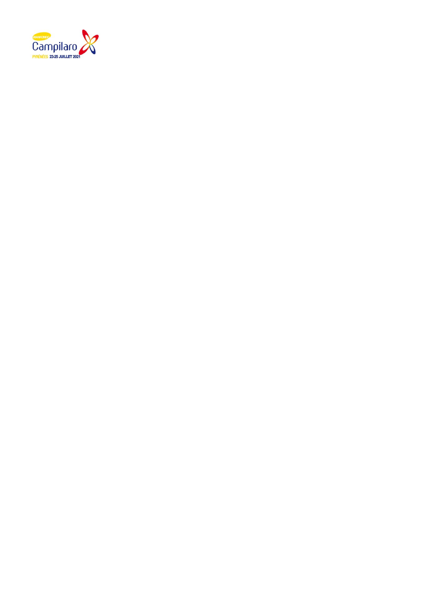